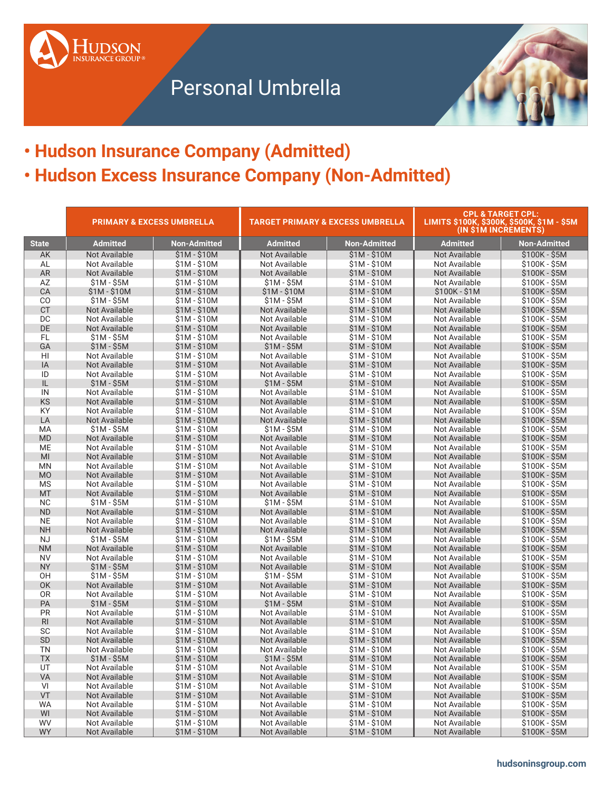



## **• Hudson Insurance Company (Admitted) • Hudson Excess Insurance Company (Non-Admitted)**

|                        | <b>PRIMARY &amp; EXCESS UMBRELLA</b><br><b>TARGET PRIMARY &amp; EXCESS UMBRELLA</b> |                              |                              | <b>CPL &amp; TARGET CPL:</b><br>LIMITS \$100K, \$300K, \$500K, \$1M - \$5M<br>(IN \$1M INCREMENTS) |                                |                                |
|------------------------|-------------------------------------------------------------------------------------|------------------------------|------------------------------|----------------------------------------------------------------------------------------------------|--------------------------------|--------------------------------|
| <b>State</b>           | <b>Admitted</b>                                                                     | <b>Non-Admitted</b>          | <b>Admitted</b>              | <b>Non-Admitted</b>                                                                                | <b>Admitted</b>                | <b>Non-Admitted</b>            |
| AK                     | Not Available                                                                       | \$1M - \$10M                 | Not Available                | $$1M - $10M$                                                                                       | <b>Not Available</b>           | \$100K - \$5M                  |
| AL                     | Not Available                                                                       | \$1M - \$10M                 | Not Available                | \$1M - \$10M                                                                                       | Not Available                  | \$100K - \$5M                  |
| <b>AR</b>              | Not Available                                                                       | $$1M - $10M$                 | Not Available                | \$1M - \$10M                                                                                       | Not Available                  | $$100K - $5M$                  |
| AZ                     | $$1M - $5M$                                                                         | \$1M - \$10M                 | $$1M - $5M$                  | \$1M - \$10M                                                                                       | Not Available                  | \$100K - \$5M                  |
| CA                     | $$1M - $10M$                                                                        | \$1M - \$10M                 | $$1M - $10M$                 | $$1M - $10M$                                                                                       | $$100K - $1M$                  | $$100K - $5M$                  |
| CO                     | $$1M - $5M$                                                                         | \$1M - \$10M                 | $$1M - $5M$                  | $$1M - $10M$                                                                                       | Not Available                  | \$100K - \$5M                  |
| <b>CT</b>              | Not Available                                                                       | $$1M - $10M$                 | Not Available                | $$1M - $10M$                                                                                       | Not Available                  | $$100K - $5M$                  |
| DC                     | Not Available                                                                       | $$1M - $10M$                 | Not Available                | \$1M - \$10M                                                                                       | Not Available                  | $$100K - $5M$                  |
| DE                     | Not Available                                                                       | $$1M - $10M$                 | Not Available                | $$1M - $10M$                                                                                       | Not Available                  | $$100K - $5M$                  |
| <b>FL</b>              | $$1M - $5M$                                                                         | $$1M - $10M$                 | Not Available                | \$1M - \$10M                                                                                       | Not Available                  | \$100K - \$5M                  |
| GA                     | $$1M - $5M$                                                                         | $$1M - $10M$                 | $$1M - $5M$                  | $$1M - $10M$                                                                                       | Not Available                  | \$100K - \$5M                  |
| HI                     | Not Available                                                                       | \$1M - \$10M                 | Not Available                | \$1M - \$10M                                                                                       | Not Available                  | \$100K - \$5M                  |
| IA                     | Not Available                                                                       | \$1M - \$10M                 | Not Available                | $$1M - $10M$                                                                                       | <b>Not Available</b>           | \$100K - \$5M                  |
| ID                     | Not Available                                                                       | \$1M - \$10M                 | Not Available                | $$1M - $10M$                                                                                       | Not Available                  | \$100K - \$5M                  |
| IL                     | $$1M - $5M$                                                                         | $$1M - $10M$                 | $$1M - $5M$                  | $$1M - $10M$                                                                                       | Not Available                  | \$100K - \$5M                  |
| IN                     | Not Available                                                                       | \$1M - \$10M                 | Not Available                | $$1M - $10M$                                                                                       | Not Available                  | \$100K - \$5M                  |
| KS                     | Not Available                                                                       | \$1M - \$10M                 | Not Available                | \$1M - \$10M                                                                                       | Not Available                  | \$100K - \$5M                  |
| KY                     | Not Available                                                                       | $$1M - $10M$                 | Not Available                | $$1M - $10M$                                                                                       | Not Available                  | \$100K - \$5M                  |
| LA                     | Not Available                                                                       | $$1M - $10M$                 | Not Available                | $$1M - $10M$                                                                                       | Not Available                  | $$100K - $5M$                  |
| MA                     | $$1M - $5M$                                                                         | \$1M - \$10M                 | $$1M - $5M$                  | $$1M - $10M$                                                                                       | Not Available                  | \$100K - \$5M                  |
| <b>MD</b>              | Not Available                                                                       | $$1M - $10M$                 | Not Available                | $$1M - $10M$                                                                                       | Not Available                  | \$100K - \$5M                  |
| ME                     | Not Available                                                                       | \$1M - \$10M                 | Not Available                | $$1M - $10M$                                                                                       | Not Available                  | \$100K - \$5M                  |
| MI                     | Not Available                                                                       | $$1M - $10M$                 | Not Available                | $$1M - $10M$                                                                                       | Not Available                  | $$100K - $5M$                  |
| <b>MN</b>              | Not Available                                                                       | $$1M - $10M$                 | Not Available                | $$1M - $10M$                                                                                       | Not Available                  | $$100K - $5M$                  |
| <b>MO</b>              | Not Available                                                                       | $$1M - $10M$                 | Not Available                | $$1M - $10M$                                                                                       | Not Available                  | $$100K - $5M$                  |
| <b>MS</b>              | Not Available                                                                       | $$1M - $10M$                 | Not Available                | \$1M - \$10M                                                                                       | Not Available                  | \$100K - \$5M                  |
| <b>MT</b>              | Not Available                                                                       | $$1M - $10M$                 | Not Available                | $$1M - $10M$                                                                                       | Not Available                  | $$100K - $5M$                  |
| <b>NC</b><br><b>ND</b> | $$1M - $5M$<br>Not Available                                                        | $$1M - $10M$<br>$$1M - $10M$ | $$1M - $5M$<br>Not Available | $$1M - $10M$<br>$$1M - $10M$                                                                       | Not Available<br>Not Available | \$100K - \$5M<br>$$100K - $5M$ |
| <b>NE</b>              | Not Available                                                                       | \$1M - \$10M                 | Not Available                | \$1M - \$10M                                                                                       | Not Available                  | \$100K - \$5M                  |
| <b>NH</b>              | Not Available                                                                       | $$1M - $10M$                 | Not Available                | $$1M - $10M$                                                                                       | Not Available                  | $$100K - $5M$                  |
| <b>NJ</b>              | $$1M - $5M$                                                                         | \$1M - \$10M                 | $$1M - $5M$                  | \$1M - \$10M                                                                                       | Not Available                  | $$100K - $5M$                  |
| <b>NM</b>              | Not Available                                                                       | $$1M - $10M$                 | Not Available                | $$1M - $10M$                                                                                       | Not Available                  | $$100K - $5M$                  |
| <b>NV</b>              | Not Available                                                                       | \$1M - \$10M                 | Not Available                | \$1M - \$10M                                                                                       | Not Available                  | \$100K - \$5M                  |
| <b>NY</b>              | $$1M - $5M$                                                                         | $$1M - $10M$                 | Not Available                | $$1M - $10M$                                                                                       | Not Available                  | $$100K - $5M$                  |
| OH                     | $$1M - $5M$                                                                         | \$1M - \$10M                 | $$1M - $5M$                  | $$1M - $10M$                                                                                       | Not Available                  | \$100K - \$5M                  |
| OK                     | Not Available                                                                       | $$1M - $10M$                 | Not Available                | $$1M - $10M$                                                                                       | Not Available                  | $$100K - $5M$                  |
| <b>OR</b>              | Not Available                                                                       | \$1M - \$10M                 | Not Available                | $$1M - $10M$                                                                                       | Not Available                  | \$100K - \$5M                  |
| PA                     | $$1M - $5M$                                                                         | $$1M - $10M$                 | $$1M - $5M$                  | $$1M - $10M$                                                                                       | Not Available                  | \$100K - \$5M                  |
| PR                     | Not Available                                                                       | $$1M - $10M$                 | Not Available                | $$1M - $10M$                                                                                       | Not Available                  | \$100K - \$5M                  |
| R <sub>l</sub>         | Not Available                                                                       | \$1M - \$10M                 | Not Available                | $$1M - $10M$                                                                                       | Not Available                  | $$100K - $5M$                  |
| <b>SC</b>              | Not Available                                                                       | $$1M - $10M$                 | Not Available                | $$1M - $10M$                                                                                       | Not Available                  | $$100K - $5M$                  |
| <b>SD</b>              | Not Available                                                                       | $$1M - $10M$                 | <b>Not Available</b>         | $$1M - $10M$                                                                                       | <b>Not Available</b>           | $$100K - $5M$                  |
| <b>TN</b>              | Not Available                                                                       | \$1M - \$10M                 | Not Available                | $$1M - $10M$                                                                                       | Not Available                  | \$100K - \$5M                  |
| ТX                     | $$1M - $5M$                                                                         | \$1M - \$10M                 | $$1M - $5M$                  | \$1M - \$10M                                                                                       | <b>Not Available</b>           | \$100K - \$5M                  |
| UT                     | Not Available                                                                       | \$1M - \$10M                 | Not Available                | $$1M - $10M$                                                                                       | Not Available                  | $$100K - $5M$                  |
| <b>VA</b>              | Not Available                                                                       | $$1M - $10M$                 | Not Available                | $$1M - $10M$                                                                                       | Not Available                  | \$100K - \$5M                  |
| VI                     | Not Available                                                                       | $$1M - $10M$                 | Not Available                | $$1M - $10M$                                                                                       | Not Available                  | $$100K - $5M$                  |
| VT                     | Not Available                                                                       | \$1M - \$10M                 | Not Available                | $$1M - $10M$                                                                                       | Not Available                  | $$100K - $5M$                  |
| <b>WA</b>              | Not Available                                                                       | $$1M - $10M$                 | Not Available                | $$1M - $10M$                                                                                       | Not Available                  | \$100K - \$5M                  |
| WI                     | Not Available                                                                       | $$1M - $10M$                 | Not Available                | $$1M - $10M$                                                                                       | Not Available                  | \$100K - \$5M                  |
| WV                     | Not Available                                                                       | $$1M - $10M$                 | Not Available                | $$1M - $10M$                                                                                       | Not Available                  | $$100K - $5M$                  |
| <b>WY</b>              | Not Available                                                                       | $$1M - $10M$                 | Not Available                | $$1M - $10M$                                                                                       | Not Available                  | $$100K - $5M$                  |